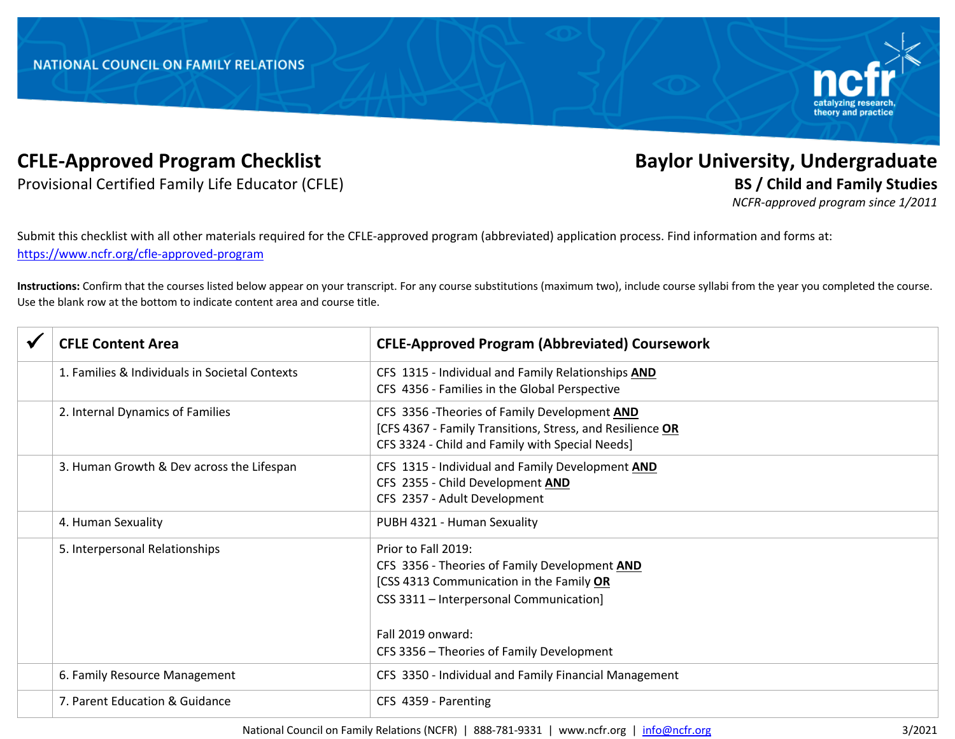

## **CFLE-Approved Program Checklist Baylor University, Undergraduate**

Provisional Certified Family Life Educator (CFLE) **BS / Child and Family Studies**

*NCFR-approved program since 1/2011*

Submit this checklist with all other materials required for the CFLE-approved program (abbreviated) application process. Find information and forms at: https://www.ncfr.org/cfle-approved-program

**Instructions:** Confirm that the courses listed below appear on your transcript. For any course substitutions (maximum two), include course syllabi from the year you completed the course. Use the blank row at the bottom to indicate content area and course title.

| <b>CFLE Content Area</b>                       | <b>CFLE-Approved Program (Abbreviated) Coursework</b>                                                                                                                            |
|------------------------------------------------|----------------------------------------------------------------------------------------------------------------------------------------------------------------------------------|
| 1. Families & Individuals in Societal Contexts | CFS 1315 - Individual and Family Relationships AND<br>CFS 4356 - Families in the Global Perspective                                                                              |
| 2. Internal Dynamics of Families               | CFS 3356 - Theories of Family Development AND<br>[CFS 4367 - Family Transitions, Stress, and Resilience OR<br>CFS 3324 - Child and Family with Special Needs]                    |
| 3. Human Growth & Dev across the Lifespan      | CFS 1315 - Individual and Family Development AND<br>CFS 2355 - Child Development AND<br>CFS 2357 - Adult Development                                                             |
| 4. Human Sexuality                             | PUBH 4321 - Human Sexuality                                                                                                                                                      |
| 5. Interpersonal Relationships                 | Prior to Fall 2019:<br>CFS 3356 - Theories of Family Development AND<br>[CSS 4313 Communication in the Family OR<br>CSS 3311 - Interpersonal Communication]<br>Fall 2019 onward: |
|                                                | CFS 3356 - Theories of Family Development                                                                                                                                        |
| 6. Family Resource Management                  | CFS 3350 - Individual and Family Financial Management                                                                                                                            |
| 7. Parent Education & Guidance                 | CFS 4359 - Parenting                                                                                                                                                             |

National Council on Family Relations (NCFR) | 888-781-9331 | www.ncfr.org | info@ncfr.org 3/2021